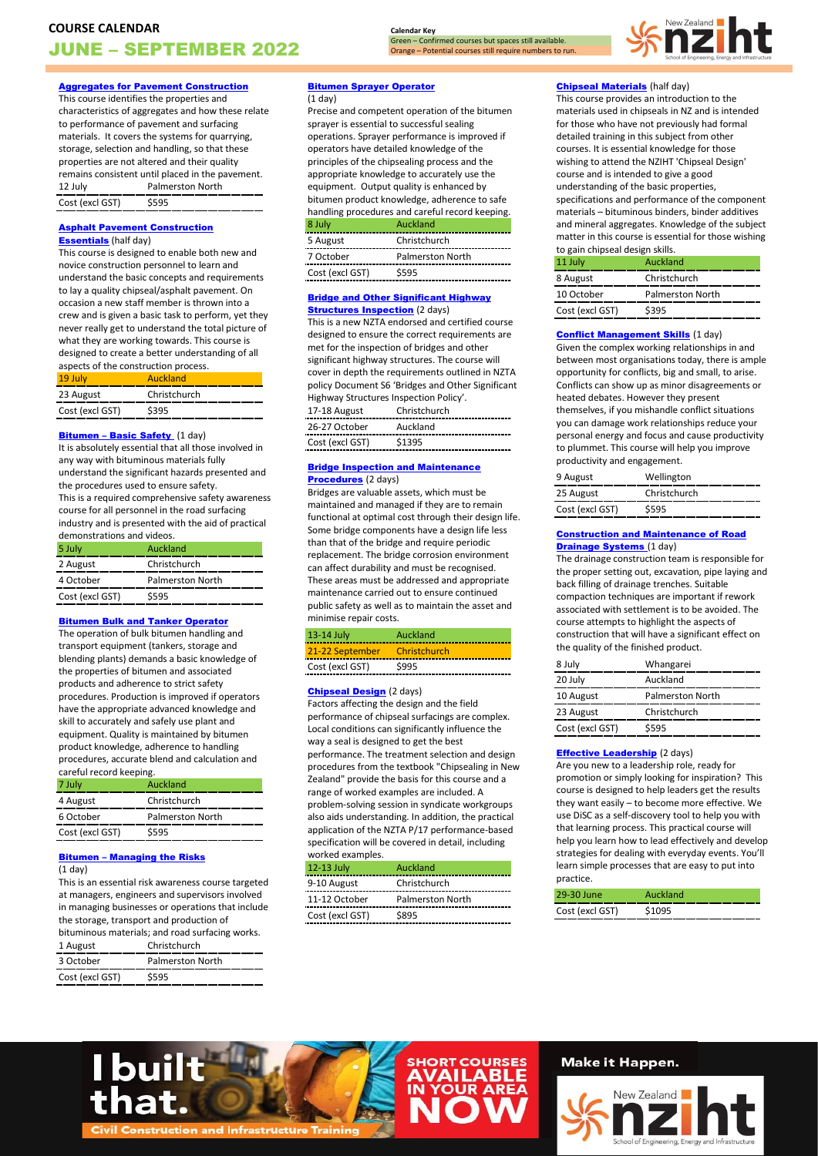**Calendar Key** Green – Confirmed courses but spaces still available. Orange – Potential courses still require numbers to run. New Zealand

## [Aggregates for Pavement Construction](https://www.nziht.co.nz/Short-Courses/Aggregates-for-Pavement-Construction/)

This course identifies the properties and characteristics of aggregates and how these relate to performance of pavement and surfacing materials. It covers the systems for quarrying, storage, selection and handling, so that these properties are not altered and their quality remains consistent until placed in the pavement. 12 July Palmerston North Cost (excl GST) \$595

### [Asphalt Pavement Construction](https://www.nziht.co.nz/Short-Courses/Asphalt-Pavement-Construction-Essentials/)  **[Essentials](https://www.nziht.co.nz/Short-Courses/Asphalt-Pavement-Construction-Essentials/)** (half day)

This course is designed to enable both new and novice construction personnel to learn and understand the basic concepts and requirements to lay a quality chipseal/asphalt pavement. On occasion a new staff member is thrown into a crew and is given a basic task to perform, yet they never really get to understand the total picture of what they are working towards. This course is designed to create a better understanding of all

| aspects of the construction process. |              |
|--------------------------------------|--------------|
| 19 July                              | Auckland     |
| 23 August                            | Christchurch |
| Cost (excl GST)                      | \$395        |

#### **Bitumen - Basic Safety** (1 day)

It is absolutely essential that all those involved in any way with bituminous materials fully understand the significant hazards presented and the procedures used to ensure safety. This is a required comprehensive safety awareness course for all personnel in the road surfacing

industry and is presented with the aid of practical demonstrations and videos.

| 5 July          | Auckland                |
|-----------------|-------------------------|
| 2 August        | Christchurch            |
| 4 October       | <b>Palmerston North</b> |
| Cost (excl GST) | \$595                   |

## [Bitumen Bulk and Tanker Operator](https://www.nziht.co.nz/Short-Courses/Bitumen-Bulk-and-Tanker-Operator/)

The operation of bulk bitumen handling and transport equipment (tankers, storage and blending plants) demands a basic knowledge of the properties of bitumen and associated products and adherence to strict safety procedures. Production is improved if operators have the appropriate advanced knowledge and skill to accurately and safely use plant and equipment. Quality is maintained by bitumen product knowledge, adherence to handling procedures, accurate blend and calculation and careful record keeping.

| Auckland                |
|-------------------------|
| Christchurch            |
| <b>Palmerston North</b> |
| \$595                   |
|                         |

## Bitumen – [Managing the Risks](https://www.nziht.co.nz/Short-Courses/Bitumen---Managing-the-Risks/)

 $(1$  day $)$ 

This is an essential risk awareness course targeted at managers, engineers and supervisors involved in managing businesses or operations that include the storage, transport and production of bituminous materials; and road surfacing works. 1 August Christchurch

| 3 October       | Palmerston North |
|-----------------|------------------|
| Cost (excl GST) | \$595            |

I built

## [Bitumen Sprayer Operator](https://www.nziht.co.nz/Short-Courses/Bitumen-Sprayer-Operator/)

(1 day)

Precise and competent operation of the bitumen sprayer is essential to successful sealing operations. Sprayer performance is improved if operators have detailed knowledge of the principles of the chipsealing process and the appropriate knowledge to accurately use the equipment. Output quality is enhanced by bitumen product knowledge, adherence to safe handling procedures and careful record keeping.

| 8 July          | Auckland                |
|-----------------|-------------------------|
| 5 August        | Christchurch            |
| 7 October       | <b>Palmerston North</b> |
| Cost (excl GST) | \$595                   |

#### [Bridge and Other Significant Highway](https://www.nziht.co.nz/Short-Courses/Bridge-and-Other-Significant-Highway-Structures-Inspection/)  **[Structures Inspection](https://www.nziht.co.nz/Short-Courses/Bridge-and-Other-Significant-Highway-Structures-Inspection/) (2 days)**

This is a new NZTA endorsed and certified course designed to ensure the correct requirements are met for the inspection of bridges and other significant highway structures. The course will cover in depth the requirements outlined in NZTA policy Document S6 'Bridges and Other Significant Highway Structures Inspection Policy'. 17-18 August Christchurch 26-27 October Auckland Cost (excl GST) \$1395

#### **Bridge Inspection and Maintenance** [Procedures](https://www.nziht.co.nz/Short-Courses/Bridge-Inspection-and-Maintenance-Procedures/) (2 days)

Bridges are valuable assets, which must be maintained and managed if they are to remain functional at optimal cost through their design life. Some bridge components have a design life less than that of the bridge and require periodic replacement. The bridge corrosion environment can affect durability and must be recognised. These areas must be addressed and appropriate maintenance carried out to ensure continued public safety as well as to maintain the asset and minimise repair costs.

| 13-14 July                   | Auckland |
|------------------------------|----------|
| 21-22 September Christchurch |          |
| Cost (excl GST)              | \$995    |

## **[Chipseal Design](https://www.nziht.co.nz/Short-Courses/Chipseal-Design/)** (2 days)

Factors affecting the design and the field performance of chipseal surfacings are complex. Local conditions can significantly influence the way a seal is designed to get the best performance. The treatment selection and design procedures from the textbook "Chipsealing in New Zealand" provide the basis for this course and a range of worked examples are included. A problem-solving session in syndicate workgroups also aids understanding. In addition, the practical application of the NZTA P/17 performance-based specification will be covered in detail, including worked examples.

# 12-13 July Auckland

| 9-10 August     | Christchurch     |
|-----------------|------------------|
| 11-12 October   | Palmerston North |
| Cost (excl GST) | \$895            |

## **[Chipseal Materials](https://www.nziht.co.nz/Short-Courses/Chipseal-Materials/)** (half day)

This course provides an introduction to the materials used in chipseals in NZ and is intended for those who have not previously had formal detailed training in this subject from other courses. It is essential knowledge for those wishing to attend the NZIHT 'Chipseal Design' course and is intended to give a good understanding of the basic properties, specifications and performance of the component materials – bituminous binders, binder additives and mineral aggregates. Knowledge of the subject matter in this course is essential for those wishing to gain chipseal design skills.

| 11 July         | Auckland                |
|-----------------|-------------------------|
| 8 August        | Christchurch            |
| 10 October      | <b>Palmerston North</b> |
| Cost (excl GST) | \$395                   |

## **[Conflict Management Skills](https://www.nziht.co.nz/Short-Courses/Conflict-Management-Skills/) (1 day)**

Given the complex working relationships in and between most organisations today, there is ample opportunity for conflicts, big and small, to arise. Conflicts can show up as minor disagreements or heated debates. However they present themselves, if you mishandle conflict situations you can damage work relationships reduce your personal energy and focus and cause productivity to plummet. This course will help you improve productivity and engagement.

| 9 August        | Wellington   |
|-----------------|--------------|
| 25 August       | Christchurch |
| Cost (excl GST) | \$595        |

#### [Construction and Maintenance of Road](https://www.nziht.co.nz/Short-Courses/Construction-and-Maintenance-of-Road-Drainage-Systems/)  **[Drainage Systems](https://www.nziht.co.nz/Short-Courses/Construction-and-Maintenance-of-Road-Drainage-Systems/) (1 day)**

The drainage construction team is responsible for the proper setting out, excavation, pipe laying and back filling of drainage trenches. Suitable compaction techniques are important if rework associated with settlement is to be avoided. The course attempts to highlight the aspects of construction that will have a significant effect on the quality of the finished product.

| 8 July          | Whangarei               |
|-----------------|-------------------------|
| 20 July         | Auckland                |
| 10 August       | <b>Palmerston North</b> |
| 23 August       | Christchurch            |
| Cost (excl GST) | \$595                   |

#### [Effective Leadership](https://www.nziht.co.nz/Short-Courses/Effective-Leadership/) (2 days)

Are you new to a leadership role, ready for promotion or simply looking for inspiration? This course is designed to help leaders get the results they want easily – to become more effective. We use DiSC as a self-discovery tool to help you with that learning process. This practical course will help you learn how to lead effectively and develop strategies for dealing with everyday events. You'll learn simple processes that are easy to put into practice.

| 29-30 June                                       | Auckland |
|--------------------------------------------------|----------|
| Cost (excl GST)<br>----------------------------- | \$1095   |



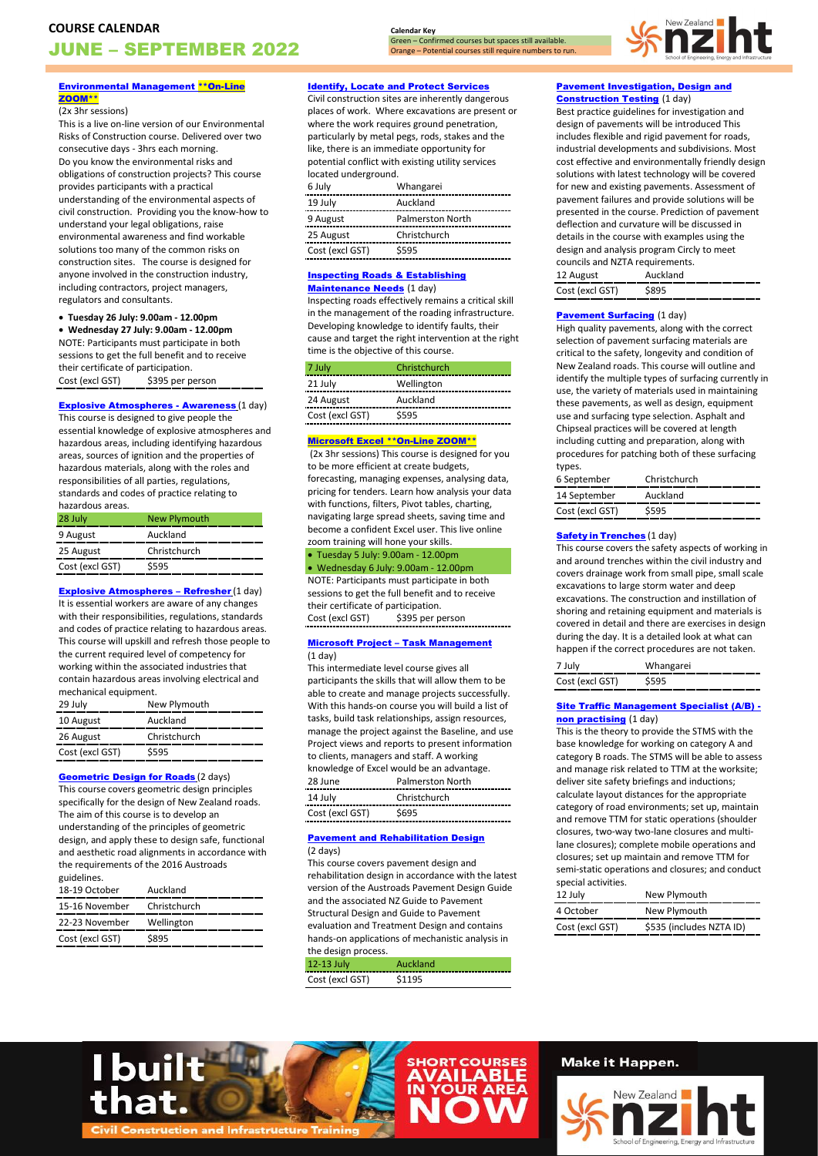**Calendar Key** Green – Confirmed courses but spaces still available.

Orange – Potential courses still require numbers to run.



#### [Environmental Management \\*\\*On-Line](https://www.nziht.co.nz/Short-Courses/Environmental-Management---On-Line-Zoom/)  [ZOOM\\*\\*](https://www.nziht.co.nz/Short-Courses/Environmental-Management---On-Line-Zoom/)

#### (2x 3hr sessions)

This is a live on-line version of our Environmental Risks of Construction course. Delivered over two consecutive days - 3hrs each morning. Do you know the environmental risks and obligations of construction projects? This course provides participants with a practical understanding of the environmental aspects of civil construction. Providing you the know-how to understand your legal obligations, raise environmental awareness and find workable solutions too many of the common risks on construction sites. The course is designed for anyone involved in the construction industry, including contractors, project managers, regulators and consultants.

#### • **Tuesday 26 July: 9.00am - 12.00pm**

• **Wednesday 27 July: 9.00am - 12.00pm** NOTE: Participants must participate in both sessions to get the full benefit and to receive their certificate of participation.<br>Cost (excl GST) \$395 per p \$395 per person

## **[Explosive Atmospheres -](https://www.nziht.co.nz/Short-Courses/Explosive-Atmospheres---Awareness/) Awareness (1 day)**

This course is designed to give people the essential knowledge of explosive atmospheres and hazardous areas, including identifying hazardous areas, sources of ignition and the properties of hazardous materials, along with the roles and responsibilities of all parties, regulations, standards and codes of practice relating to

| hazardous areas. |                     |
|------------------|---------------------|
| 28 July          | <b>New Plymouth</b> |
| 9 August         | Auckland            |
| 25 August        | Christchurch        |
| Cost (excl GST)  | \$595               |
|                  |                     |

[Explosive Atmospheres](https://www.nziht.co.nz/Short-Courses/Explosive-Atmospheres---Refresher/) – Refresher (1 day) It is essential workers are aware of any changes with their responsibilities, regulations, standards and codes of practice relating to hazardous areas. This course will upskill and refresh those people to the current required level of competency for working within the associated industries that contain hazardous areas involving electrical and mechanical equipment.

| 29 July         | New Plymouth |
|-----------------|--------------|
| 10 August       | Auckland     |
| 26 August       | Christchurch |
| Cost (excl GST) | \$595        |
|                 |              |

#### **[Geometric Design for Roads](https://www.nziht.co.nz/Short-Courses/Geometric-Design-for-Roads/) (2 days)**

This course covers geometric design principles specifically for the design of New Zealand roads. The aim of this course is to develop an understanding of the principles of geometric design, and apply these to design safe, functional and aesthetic road alignments in accordance with the requirements of the 2016 Austroads guidelines.

| 18-19 October               | Auckland   |
|-----------------------------|------------|
| 15-16 November Christchurch |            |
| 22-23 November              | Wellington |
| Cost (excl GST)             | \$895      |

## [Identify, Locate and Protect Services](https://www.nziht.co.nz/Short-Courses/Identify,-Locate-and-Protect-Services/)

Civil construction sites are inherently dangerous places of work. Where excavations are present or where the work requires ground penetration. particularly by metal pegs, rods, stakes and the like, there is an immediate opportunity for potential conflict with existing utility services located underground.

| 6 July          | Whangarei               |
|-----------------|-------------------------|
| 19 July         | Auckland                |
| 9 August        | <b>Palmerston North</b> |
| 25 August       | Christchurch            |
| Cost (excl GST) | \$595                   |

### [Inspecting Roads & Establishing](https://www.nziht.co.nz/Short-Courses/Inspecting-Roads-and-Establishing-Maintenance-Needs/)  [Maintenance Needs](https://www.nziht.co.nz/Short-Courses/Inspecting-Roads-and-Establishing-Maintenance-Needs/) (1 day)

Inspecting roads effectively remains a critical skill in the management of the roading infrastructure. Developing knowledge to identify faults, their cause and target the right intervention at the right time is the objective of this course.

| 7 July          | Christchurch |
|-----------------|--------------|
| 21 July         | Wellington   |
| 24 August       | Auckland     |
| Cost (excl GST) | S595         |

### [Microsoft Excel \\*\\*On-Line ZOOM\\*\\*](https://www.nziht.co.nz/Short-Courses/Microsoft-Excel---On-Line-Zoom/)

(2x 3hr sessions) This course is designed for you to be more efficient at create budgets, forecasting, managing expenses, analysing data, pricing for tenders. Learn how analysis your data with functions, filters, Pivot tables, charting, navigating large spread sheets, saving time and become a confident Excel user. This live online zoom training will hone your skills.

• Tuesday 5 July: 9.00am - 12.00pm • Wednesday 6 July: 9.00am - 12.00pm NOTE: Participants must participate in both sessions to get the full benefit and to receive their certificate of participation. Cost (excl GST) \$395 per person

#### Microsoft Project – [Task Management](https://www.nziht.co.nz/Short-Courses/Microsoft-Project---Task-Management/) (1 day)

This intermediate level course gives all participants the skills that will allow them to be able to create and manage projects successfully. With this hands-on course you will build a list of tasks, build task relationships, assign resources, manage the project against the Baseline, and use Project views and reports to present information to clients, managers and staff. A working knowledge of Excel would be an advantage. 28 June Palmerston North 14 July Christchurch Cost (excl GST) \$695

#### [Pavement and Rehabilitation Design](https://www.nziht.co.nz/Short-Courses/Pavement-and-Rehabilitation-Design/) (2 days)

This course covers pavement design and rehabilitation design in accordance with the latest version of the Austroads Pavement Design Guide and the associated NZ Guide to Pavement Structural Design and Guide to Pavement evaluation and Treatment Design and contains hands-on applications of mechanistic analysis in the design process.

| 12-13 July<br>_________<br>$\sim$<br>-- | Alickland |  |
|-----------------------------------------|-----------|--|
| Cost (excl GST)                         | 5114      |  |

## **Pavement Investigation, Design and [Construction Testing](https://www.nziht.co.nz/Short-Courses/Pavement-Investigation,-Design-and-Construction-Testing/) (1 day)**

Best practice guidelines for investigation and design of pavements will be introduced This includes flexible and rigid pavement for roads, industrial developments and subdivisions. Most cost effective and environmentally friendly design solutions with latest technology will be covered for new and existing pavements. Assessment of pavement failures and provide solutions will be presented in the course. Prediction of pavement deflection and curvature will be discussed in details in the course with examples using the design and analysis program Circly to meet councils and NZTA requirements.

| <b>IZ AUPUST</b> |  |
|------------------|--|
| nst lexcl GST)   |  |

#### [Pavement Surfacing](https://www.nziht.co.nz/Short-Courses/Pavement-Surfacing/) (1 day)

High quality pavements, along with the correct selection of pavement surfacing materials are critical to the safety, longevity and condition of New Zealand roads. This course will outline and identify the multiple types of surfacing currently in use, the variety of materials used in maintaining these pavements, as well as design, equipment use and surfacing type selection. Asphalt and Chipseal practices will be covered at length including cutting and preparation, along with procedures for patching both of these surfacing types.

| 6 September     | Christchurch |
|-----------------|--------------|
| 14 September    | Auckland     |
| Cost (excl GST) | \$595        |

#### **Safety in [Trenches](https://www.nziht.co.nz/Short-Courses/Safety-in-Trenches/) (1 day)**

This course covers the safety aspects of working in and around trenches within the civil industry and covers drainage work from small pipe, small scale excavations to large storm water and deep excavations. The construction and instillation of shoring and retaining equipment and materials is covered in detail and there are exercises in design during the day. It is a detailed look at what can happen if the correct procedures are not taken.

## [Site Traffic Management Specialist \(A/B\)](https://www.nziht.co.nz/Short-Courses/Site-Traffic-Management-Specialist-(A-B)----non-practising/)  [non practising](https://www.nziht.co.nz/Short-Courses/Site-Traffic-Management-Specialist-(A-B)----non-practising/) (1 day)

This is the theory to provide the STMS with the base knowledge for working on category A and category B roads. The STMS will be able to assess and manage risk related to TTM at the worksite; deliver site safety briefings and inductions; calculate layout distances for the appropriate category of road environments; set up, maintain and remove TTM for static operations (shoulder closures, two-way two-lane closures and multilane closures); complete mobile operations and closures; set up maintain and remove TTM for semi-static operations and closures; and conduct special activities.

| SPCCIOI QUESTEILOS |                          |
|--------------------|--------------------------|
| 12 July            | New Plymouth             |
| 4 October          | New Plymouth             |
| Cost (excl GST)    | \$535 (includes NZTA ID) |



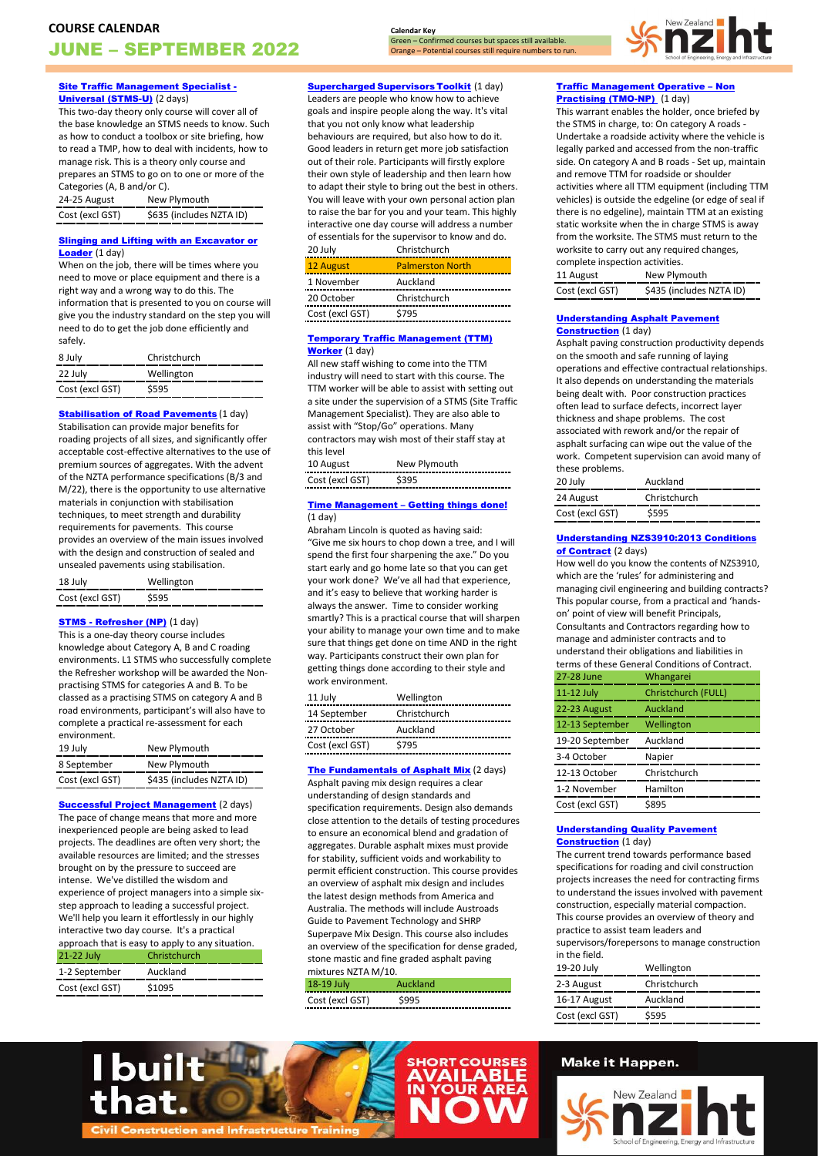**[Site Traffic Management Specialist -](https://www.nziht.co.nz/Short-Courses/Site-Traffic-Management-Specialist---Universal-(STMS-U)/) [Universal \(STMS-U\)](https://www.nziht.co.nz/Short-Courses/Site-Traffic-Management-Specialist---Universal-(STMS-U)/)** (2 days)

This two-day theory only course will cover all of the base knowledge an STMS needs to know. Such as how to conduct a toolbox or site briefing, how to read a TMP, how to deal with incidents, how to manage risk. This is a theory only course and prepares an STMS to go on to one or more of the Categories (A, B and/or C).

| 24-25 August    | New Plymouth             |
|-----------------|--------------------------|
| Cost (excl GST) | \$635 (includes NZTA ID) |

### **Slinging and Lifting with an Excavator or** [Loader](https://www.nziht.co.nz/Short-Courses/Slinging-and-Lifting-with-an-Excavator-or-Loader/) (1 day)

When on the job, there will be times where you need to move or place equipment and there is a right way and a wrong way to do this. The information that is presented to you on course will give you the industry standard on the step you will need to do to get the job done efficiently and safely.

| 8 July          | Christchurch |
|-----------------|--------------|
| 22 July         | Wellington   |
| Cost (excl GST) | S595         |

#### **[Stabilisation of Road Pavements](https://www.nziht.co.nz/Short-Courses/Stabilisation-of-Road-Pavements---Fundamentals/) (1 day)**

Stabilisation can provide major benefits for roading projects of all sizes, and significantly offer acceptable cost-effective alternatives to the use of premium sources of aggregates. With the advent of the NZTA performance specifications (B/3 and M/22), there is the opportunity to use alternative materials in conjunction with stabilisation techniques, to meet strength and durability requirements for pavements. This course provides an overview of the main issues involved with the design and construction of sealed and unsealed pavements using stabilisation.

| 18 July         | Wellington |
|-----------------|------------|
| Cost (excl GST) | \$595      |

## **STMS - [Refresher \(NP\)](https://www.nziht.co.nz/Short-Courses/STMS---Refresher-(NP)/)** (1 day)

This is a one-day theory course includes knowledge about Category A, B and C roading environments. L1 STMS who successfully complete the Refresher workshop will be awarded the Nonpractising STMS for categories A and B. To be classed as a practising STMS on category A and B road environments, participant's will also have to complete a practical re-assessment for each environment.

| 19 July         | New Plymouth             |
|-----------------|--------------------------|
| 8 September     | New Plymouth             |
| Cost (excl GST) | \$435 (includes NZTA ID) |

**[Successful Project Management](https://www.nziht.co.nz/Short-Courses/Successful-Project-Management/)** (2 days) The pace of change means that more and more inexperienced people are being asked to lead projects. The deadlines are often very short; the available resources are limited; and the stresses brought on by the pressure to succeed are intense. We've distilled the wisdom and experience of project managers into a simple sixstep approach to leading a successful project. We'll help you learn it effortlessly in our highly interactive two day course. It's a practical approach that is easy to apply to any situation.

|                                                  | approach that is easy to apply to any situation. |
|--------------------------------------------------|--------------------------------------------------|
| 21-22 July                                       | Christchurch                                     |
| 1-2 September<br>------------------------------- | Auckland                                         |
| Cost (excl GST)                                  | \$1095                                           |

**[Supercharged](https://www.nziht.co.nz/Short-Courses/Supercharged-Supervisors-Toolkit/) Supervisors Toolkit (1 day)** 

**Calendar Key**

Green – Confirmed courses but spaces still available. Orange – Potential courses still require numbers to run.

Leaders are people who know how to achieve goals and inspire people along the way. It's vital that you not only know what leadership behaviours are required, but also how to do it. Good leaders in return get more job satisfaction out of their role. Participants will firstly explore their own style of leadership and then learn how to adapt their style to bring out the best in others. You will leave with your own personal action plan to raise the bar for you and your team. This highly interactive one day course will address a number of essentials for the supervisor to know and do.

| 20 July         | Christchurch            |
|-----------------|-------------------------|
| 12 August       | <b>Palmerston North</b> |
| 1 November      | Auckland                |
| 20 October      | Christchurch            |
| Cost (excl GST) | \$795                   |
|                 |                         |

#### [Temporary Traffic Management \(TTM\)](https://www.nziht.co.nz/Short-Courses/Temporary-Traffic-Management-(TTM)-Worker/)  [Worker](https://www.nziht.co.nz/Short-Courses/Temporary-Traffic-Management-(TTM)-Worker/) (1 day)

All new staff wishing to come into the TTM industry will need to start with this course. The TTM worker will be able to assist with setting out a site under the supervision of a STMS (Site Traffic Management Specialist). They are also able to assist with "Stop/Go" operations. Many contractors may wish most of their staff stay at this level

| 10 August<br>___________ | New Plymouth |
|--------------------------|--------------|
| Cost (excl GST)          | ---------    |

#### Time Management – [Getting things done!](https://www.nziht.co.nz/Short-Courses/Time-Management---Getting-things-done!/)  $(1$  day $)$

Abraham Lincoln is quoted as having said: "Give me six hours to chop down a tree, and I will spend the first four sharpening the axe." Do you start early and go home late so that you can get your work done? We've all had that experience, and it's easy to believe that working harder is always the answer. Time to consider working smartly? This is a practical course that will sharpen your ability to manage your own time and to make sure that things get done on time AND in the right way. Participants construct their own plan for getting things done according to their style and work environment.

| 11 July         | Wellington   |
|-----------------|--------------|
| 14 September    | Christchurch |
| 27 October      | Auckland     |
| Cost (excl GST) | \$795        |
|                 |              |

## [The Fundamentals of Asphalt Mix](https://www.nziht.co.nz/Short-Courses/The-Fundamentals-of-Asphalt-Mix/) (2 days)

Asphalt paving mix design requires a clear understanding of design standards and specification requirements. Design also demands close attention to the details of testing procedures to ensure an economical blend and gradation of aggregates. Durable asphalt mixes must provide for stability, sufficient voids and workability to permit efficient construction. This course provides an overview of asphalt mix design and includes the latest design methods from America and Australia. The methods will include Austroads Guide to Pavement Technology and SHRP Superpave Mix Design. This course also includes an overview of the specification for dense graded, stone mastic and fine graded asphalt paving mixtures NZTA M/10.

| 18-19 July      | Auckland |
|-----------------|----------|
| Cost (excl GST) |          |



## [Traffic Management Operative](https://www.nziht.co.nz/Short-Courses/Traffic-Management-Operative---non-practicing-(TMO-NP)/) – Non [Practising \(TMO-NP\)](https://www.nziht.co.nz/Short-Courses/Traffic-Management-Operative---non-practicing-(TMO-NP)/) (1 day)

This warrant enables the holder, once briefed by the STMS in charge, to: On category A roads -Undertake a roadside activity where the vehicle is legally parked and accessed from the non-traffic side. On category A and B roads - Set up, maintain and remove TTM for roadside or shoulder activities where all TTM equipment (including TTM vehicles) is outside the edgeline (or edge of seal if there is no edgeline), maintain TTM at an existing static worksite when the in charge STMS is away from the worksite. The STMS must return to the worksite to carry out any required changes, complete inspection activities.

| 11 August       | New Plymouth             |
|-----------------|--------------------------|
| Cost (excl GST) | \$435 (includes NZTA ID) |

#### Understanding Asphalt Pavement **Construction** (1 day)

Asphalt paving construction productivity depends on the smooth and safe running of laying operations and effective contractual relationships. It also depends on understanding the materials being dealt with. Poor construction practices often lead to surface defects, incorrect layer thickness and shape problems. The cost associated with rework and/or the repair of asphalt surfacing can wipe out the value of the work. Competent supervision can avoid many of these problems.

| 20 July         | Auckland     |
|-----------------|--------------|
| 24 August       | Christchurch |
| Cost (excl GST) | \$595        |

## [Understanding NZS3910:2013 Conditions](https://www.nziht.co.nz/Short-Courses/Understanding-NZS39102013-Conditions-of-Contract/)  of **Contract** (2 days)

How well do you know the contents of NZS3910, which are the 'rules' for administering and managing civil engineering and building contracts? This popular course, from a practical and 'handson' point of view will benefit Principals, Consultants and Contractors regarding how to manage and administer contracts and to understand their obligations and liabilities in terms of these General Conditions of Contract. 27-28 June Whangarei

| 27-20 JUNE      | <b>WITATIKAL CI</b> |
|-----------------|---------------------|
| 11-12 July      | Christchurch (FULL) |
| 22-23 August    | Auckland            |
| 12-13 September | Wellington          |
| 19-20 September | Auckland            |
| 3-4 October     | Napier              |
| 12-13 October   | Christchurch        |
| 1-2 November    | Hamilton            |
| Cost (excl GST) | \$895               |

### [Understanding Quality Pavement](https://www.nziht.co.nz/Short-Courses/Understanding-Quality-Pavement-Construction/)  **[Construction](https://www.nziht.co.nz/Short-Courses/Understanding-Quality-Pavement-Construction/)** (1 day)

The current trend towards performance based specifications for roading and civil construction projects increases the need for contracting firms to understand the issues involved with pavement construction, especially material compaction. This course provides an overview of theory and practice to assist team leaders and supervisors/forepersons to manage construction in the field.

| .               |              |
|-----------------|--------------|
| 19-20 July      | Wellington   |
| 2-3 August      | Christchurch |
| 16-17 August    | Auckland     |
| Cost (excl GST) | \$595        |